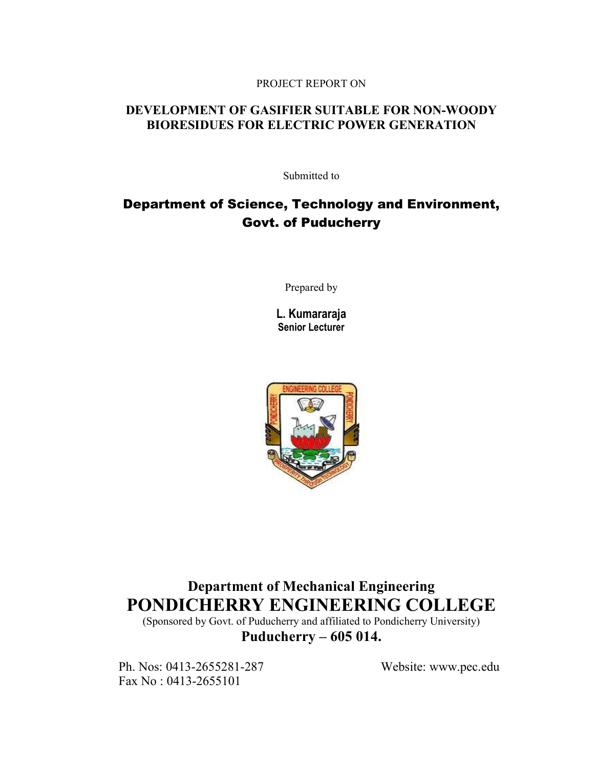## PROJECT REPORT ON

## DEVELOPMENT OF GASIFIER SUITABLE FOR NON-WOODY BIORESIDUES FOR ELECTRIC POWER GENERATION

Submitted to

## Department of Science, Technology and Environment, Govt. of Puducherry

Prepared by

L. Kumararaja Senior Lecturer



## Department of Mechanical Engineering PONDICHERRY ENGINEERING COLLEGE

(Sponsored by Govt. of Puducherry and affiliated to Pondicherry University) Puducherry – 605 014.

Ph. Nos: 0413-2655281-287 Website: www.pec.edu Fax No : 0413-2655101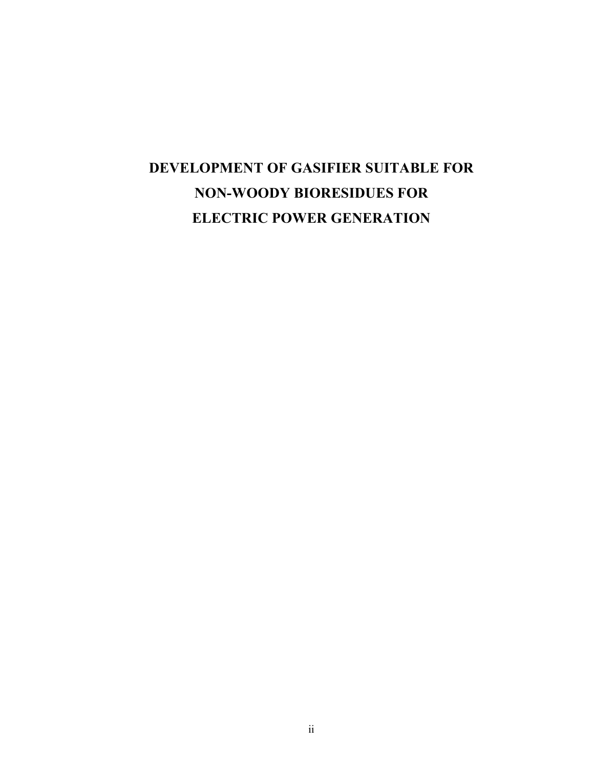# DEVELOPMENT OF GASIFIER SUITABLE FOR NON-WOODY BIORESIDUES FOR ELECTRIC POWER GENERATION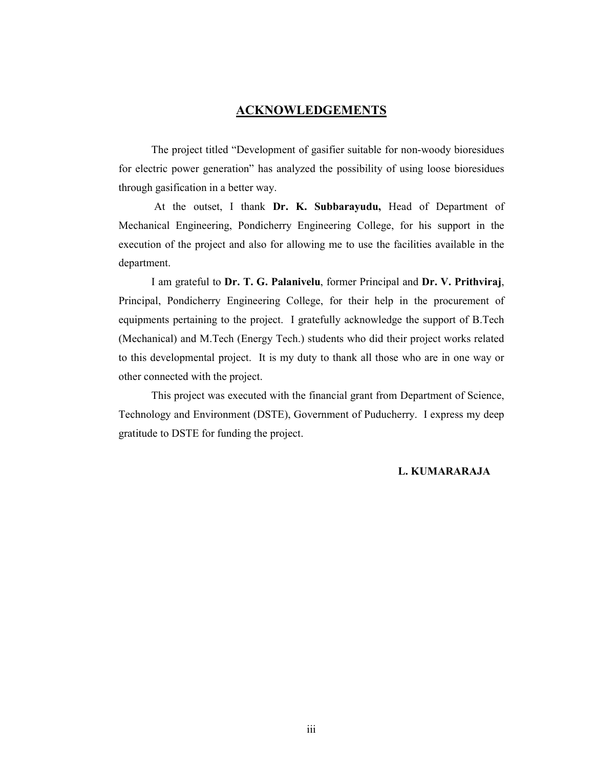## **ACKNOWLEDGEMENTS**

 The project titled "Development of gasifier suitable for non-woody bioresidues for electric power generation" has analyzed the possibility of using loose bioresidues through gasification in a better way.

 At the outset, I thank Dr. K. Subbarayudu, Head of Department of Mechanical Engineering, Pondicherry Engineering College, for his support in the execution of the project and also for allowing me to use the facilities available in the department.

 I am grateful to Dr. T. G. Palanivelu, former Principal and Dr. V. Prithviraj, Principal, Pondicherry Engineering College, for their help in the procurement of equipments pertaining to the project. I gratefully acknowledge the support of B.Tech (Mechanical) and M.Tech (Energy Tech.) students who did their project works related to this developmental project. It is my duty to thank all those who are in one way or other connected with the project.

This project was executed with the financial grant from Department of Science, Technology and Environment (DSTE), Government of Puducherry. I express my deep gratitude to DSTE for funding the project.

### L. KUMARARAJA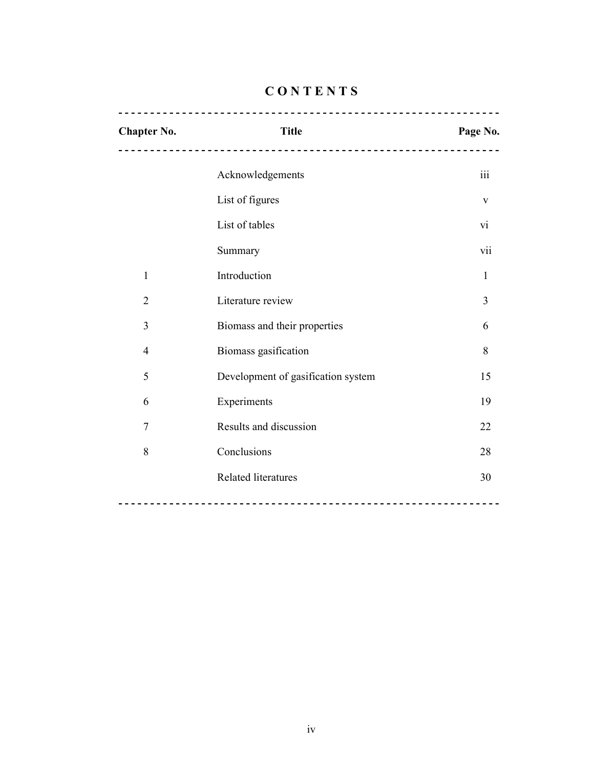| <b>Chapter No.</b> | <b>Title</b>                       | Page No.         |
|--------------------|------------------------------------|------------------|
|                    | Acknowledgements                   | $\overline{111}$ |
|                    | List of figures                    | $\mathbf{V}$     |
|                    | List of tables                     | $\overline{vi}$  |
|                    | Summary                            | vii              |
| $\mathbf{1}$       | Introduction                       | 1                |
| $\overline{2}$     | Literature review                  | 3                |
| 3                  | Biomass and their properties       | 6                |
| $\overline{4}$     | Biomass gasification               | 8                |
| 5                  | Development of gasification system | 15               |
| 6                  | Experiments                        | 19               |
| 7                  | Results and discussion             | 22               |
| 8                  | Conclusions                        | 28               |
|                    | <b>Related literatures</b>         | 30               |
|                    |                                    |                  |

## **CONTENTS**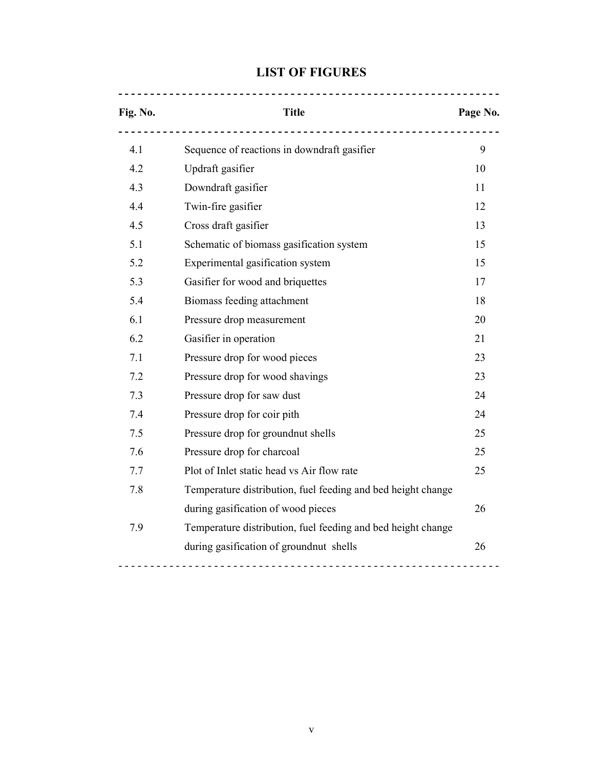## LIST OF FIGURES

- - - - - - - - - - - - - - - - - - - - - - - - - - - - - - - - - - - - - - - - - - - - - - - - - - - - - - - - - - - -

| Fig. No. | <b>Title</b>                                                 |    |  |
|----------|--------------------------------------------------------------|----|--|
| 4.1      | Sequence of reactions in downdraft gasifier                  | 9  |  |
| 4.2      | Updraft gasifier                                             |    |  |
| 4.3      | Downdraft gasifier                                           |    |  |
| 4.4      | Twin-fire gasifier                                           | 12 |  |
| 4.5      | Cross draft gasifier                                         | 13 |  |
| 5.1      | Schematic of biomass gasification system                     | 15 |  |
| 5.2      | Experimental gasification system                             | 15 |  |
| 5.3      | Gasifier for wood and briquettes                             | 17 |  |
| 5.4      | Biomass feeding attachment                                   | 18 |  |
| 6.1      | Pressure drop measurement                                    | 20 |  |
| 6.2      | Gasifier in operation                                        | 21 |  |
| 7.1      | Pressure drop for wood pieces                                | 23 |  |
| 7.2      | Pressure drop for wood shavings                              | 23 |  |
| 7.3      | Pressure drop for saw dust                                   | 24 |  |
| 7.4      | Pressure drop for coir pith                                  | 24 |  |
| 7.5      | Pressure drop for groundnut shells                           | 25 |  |
| 7.6      | Pressure drop for charcoal                                   | 25 |  |
| 7.7      | Plot of Inlet static head vs Air flow rate                   | 25 |  |
| 7.8      | Temperature distribution, fuel feeding and bed height change |    |  |
|          | during gasification of wood pieces                           | 26 |  |
| 7.9      | Temperature distribution, fuel feeding and bed height change |    |  |
|          | during gasification of groundnut shells                      | 26 |  |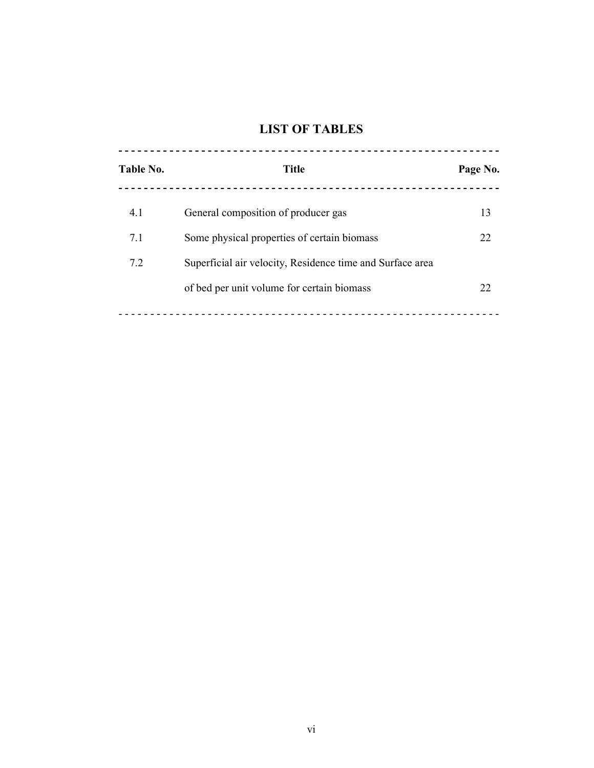## LIST OF TABLES

| Table No. | <b>Title</b>                                              | Page No. |
|-----------|-----------------------------------------------------------|----------|
| 4.1       | General composition of producer gas                       | 13       |
| 7.1       | Some physical properties of certain biomass               | 22       |
| 7.2       | Superficial air velocity, Residence time and Surface area |          |
|           | of bed per unit volume for certain biomass                | 22       |
|           |                                                           |          |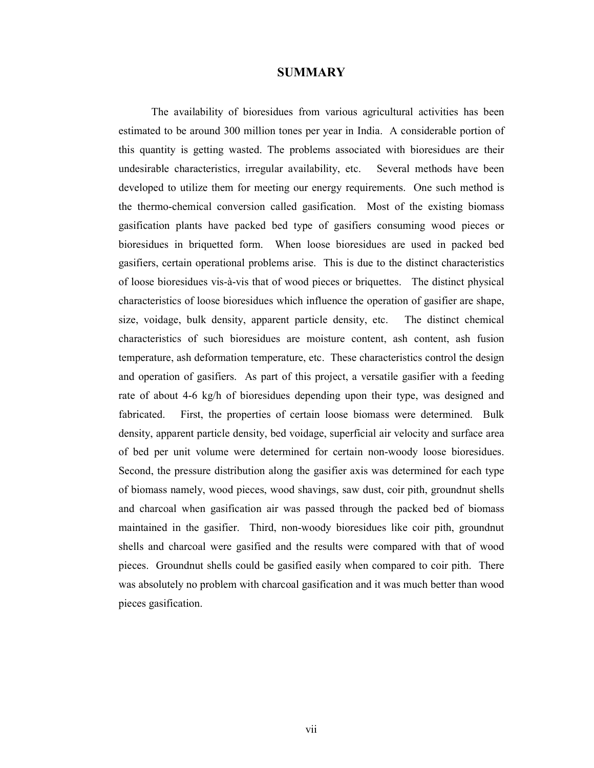### **SUMMARY**

 The availability of bioresidues from various agricultural activities has been estimated to be around 300 million tones per year in India. A considerable portion of this quantity is getting wasted. The problems associated with bioresidues are their undesirable characteristics, irregular availability, etc. Several methods have been developed to utilize them for meeting our energy requirements. One such method is the thermo-chemical conversion called gasification. Most of the existing biomass gasification plants have packed bed type of gasifiers consuming wood pieces or bioresidues in briquetted form. When loose bioresidues are used in packed bed gasifiers, certain operational problems arise. This is due to the distinct characteristics of loose bioresidues vis-à-vis that of wood pieces or briquettes. The distinct physical characteristics of loose bioresidues which influence the operation of gasifier are shape, size, voidage, bulk density, apparent particle density, etc. The distinct chemical characteristics of such bioresidues are moisture content, ash content, ash fusion temperature, ash deformation temperature, etc. These characteristics control the design and operation of gasifiers. As part of this project, a versatile gasifier with a feeding rate of about 4-6 kg/h of bioresidues depending upon their type, was designed and fabricated. First, the properties of certain loose biomass were determined. Bulk density, apparent particle density, bed voidage, superficial air velocity and surface area of bed per unit volume were determined for certain non-woody loose bioresidues. Second, the pressure distribution along the gasifier axis was determined for each type of biomass namely, wood pieces, wood shavings, saw dust, coir pith, groundnut shells and charcoal when gasification air was passed through the packed bed of biomass maintained in the gasifier. Third, non-woody bioresidues like coir pith, groundnut shells and charcoal were gasified and the results were compared with that of wood pieces. Groundnut shells could be gasified easily when compared to coir pith. There was absolutely no problem with charcoal gasification and it was much better than wood pieces gasification.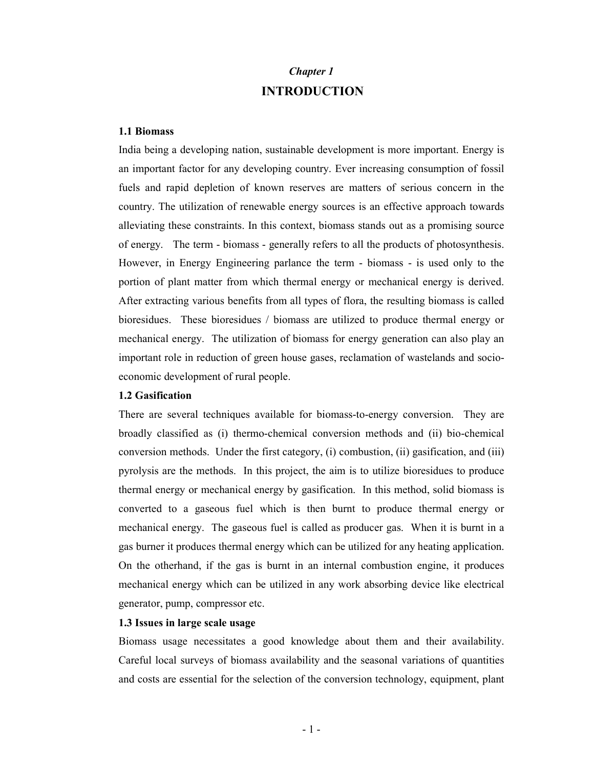## Chapter 1 INTRODUCTION

### 1.1 Biomass

India being a developing nation, sustainable development is more important. Energy is an important factor for any developing country. Ever increasing consumption of fossil fuels and rapid depletion of known reserves are matters of serious concern in the country. The utilization of renewable energy sources is an effective approach towards alleviating these constraints. In this context, biomass stands out as a promising source of energy. The term - biomass - generally refers to all the products of photosynthesis. However, in Energy Engineering parlance the term - biomass - is used only to the portion of plant matter from which thermal energy or mechanical energy is derived. After extracting various benefits from all types of flora, the resulting biomass is called bioresidues. These bioresidues / biomass are utilized to produce thermal energy or mechanical energy. The utilization of biomass for energy generation can also play an important role in reduction of green house gases, reclamation of wastelands and socioeconomic development of rural people.

#### 1.2 Gasification

There are several techniques available for biomass-to-energy conversion. They are broadly classified as (i) thermo-chemical conversion methods and (ii) bio-chemical conversion methods. Under the first category, (i) combustion, (ii) gasification, and (iii) pyrolysis are the methods. In this project, the aim is to utilize bioresidues to produce thermal energy or mechanical energy by gasification. In this method, solid biomass is converted to a gaseous fuel which is then burnt to produce thermal energy or mechanical energy. The gaseous fuel is called as producer gas. When it is burnt in a gas burner it produces thermal energy which can be utilized for any heating application. On the otherhand, if the gas is burnt in an internal combustion engine, it produces mechanical energy which can be utilized in any work absorbing device like electrical generator, pump, compressor etc.

#### 1.3 Issues in large scale usage

Biomass usage necessitates a good knowledge about them and their availability. Careful local surveys of biomass availability and the seasonal variations of quantities and costs are essential for the selection of the conversion technology, equipment, plant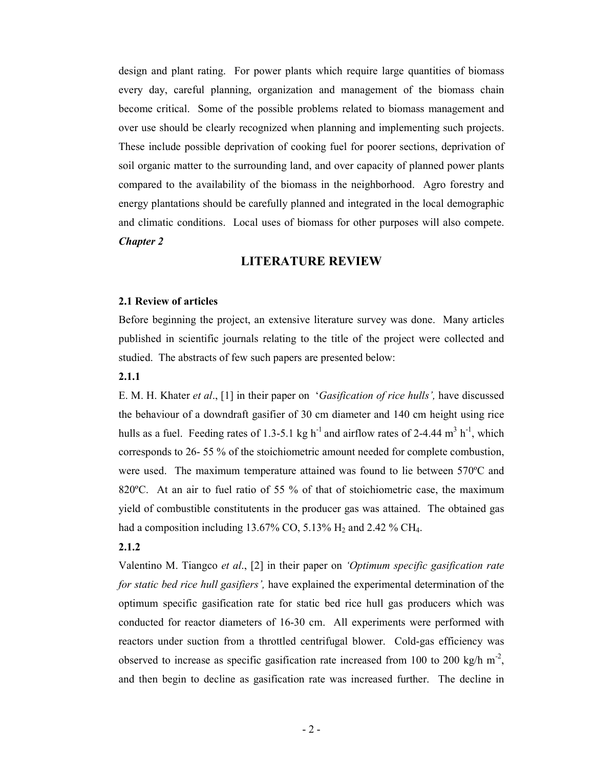design and plant rating. For power plants which require large quantities of biomass every day, careful planning, organization and management of the biomass chain become critical. Some of the possible problems related to biomass management and over use should be clearly recognized when planning and implementing such projects. These include possible deprivation of cooking fuel for poorer sections, deprivation of soil organic matter to the surrounding land, and over capacity of planned power plants compared to the availability of the biomass in the neighborhood. Agro forestry and energy plantations should be carefully planned and integrated in the local demographic and climatic conditions. Local uses of biomass for other purposes will also compete. Chapter 2

## LITERATURE REVIEW

### 2.1 Review of articles

Before beginning the project, an extensive literature survey was done. Many articles published in scientific journals relating to the title of the project were collected and studied. The abstracts of few such papers are presented below:

#### 2.1.1

E. M. H. Khater et al., [1] in their paper on 'Gasification of rice hulls', have discussed the behaviour of a downdraft gasifier of 30 cm diameter and 140 cm height using rice hulls as a fuel. Feeding rates of 1.3-5.1 kg h<sup>-1</sup> and airflow rates of 2-4.44 m<sup>3</sup> h<sup>-1</sup>, which corresponds to 26- 55 % of the stoichiometric amount needed for complete combustion, were used. The maximum temperature attained was found to lie between 570ºC and 820°C. At an air to fuel ratio of 55 % of that of stoichiometric case, the maximum yield of combustible constitutents in the producer gas was attained. The obtained gas had a composition including  $13.67\%$  CO,  $5.13\%$  H<sub>2</sub> and  $2.42\%$  CH<sub>4</sub>.

#### 2.1.2

Valentino M. Tiangco et al., [2] in their paper on 'Optimum specific gasification rate for static bed rice hull gasifiers', have explained the experimental determination of the optimum specific gasification rate for static bed rice hull gas producers which was conducted for reactor diameters of 16-30 cm. All experiments were performed with reactors under suction from a throttled centrifugal blower. Cold-gas efficiency was observed to increase as specific gasification rate increased from 100 to 200 kg/h  $m^2$ , and then begin to decline as gasification rate was increased further. The decline in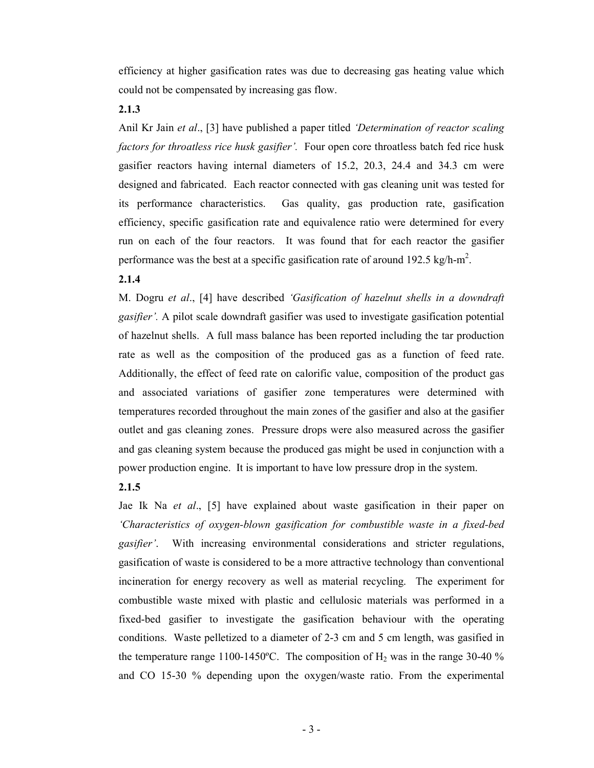efficiency at higher gasification rates was due to decreasing gas heating value which could not be compensated by increasing gas flow.

2.1.3

Anil Kr Jain et al., [3] have published a paper titled 'Determination of reactor scaling factors for throatless rice husk gasifier'. Four open core throatless batch fed rice husk gasifier reactors having internal diameters of 15.2, 20.3, 24.4 and 34.3 cm were designed and fabricated. Each reactor connected with gas cleaning unit was tested for its performance characteristics. Gas quality, gas production rate, gasification efficiency, specific gasification rate and equivalence ratio were determined for every run on each of the four reactors. It was found that for each reactor the gasifier performance was the best at a specific gasification rate of around 192.5 kg/h-m<sup>2</sup>.

## 2.1.4

M. Dogru et al., [4] have described 'Gasification of hazelnut shells in a downdraft gasifier'. A pilot scale downdraft gasifier was used to investigate gasification potential of hazelnut shells. A full mass balance has been reported including the tar production rate as well as the composition of the produced gas as a function of feed rate. Additionally, the effect of feed rate on calorific value, composition of the product gas and associated variations of gasifier zone temperatures were determined with temperatures recorded throughout the main zones of the gasifier and also at the gasifier outlet and gas cleaning zones. Pressure drops were also measured across the gasifier and gas cleaning system because the produced gas might be used in conjunction with a power production engine. It is important to have low pressure drop in the system.

## 2.1.5

Jae Ik Na et al., [5] have explained about waste gasification in their paper on 'Characteristics of oxygen-blown gasification for combustible waste in a fixed-bed gasifier'. With increasing environmental considerations and stricter regulations, gasification of waste is considered to be a more attractive technology than conventional incineration for energy recovery as well as material recycling. The experiment for combustible waste mixed with plastic and cellulosic materials was performed in a fixed-bed gasifier to investigate the gasification behaviour with the operating conditions. Waste pelletized to a diameter of 2-3 cm and 5 cm length, was gasified in the temperature range 1100-1450°C. The composition of  $H_2$  was in the range 30-40 % and CO 15-30 % depending upon the oxygen/waste ratio. From the experimental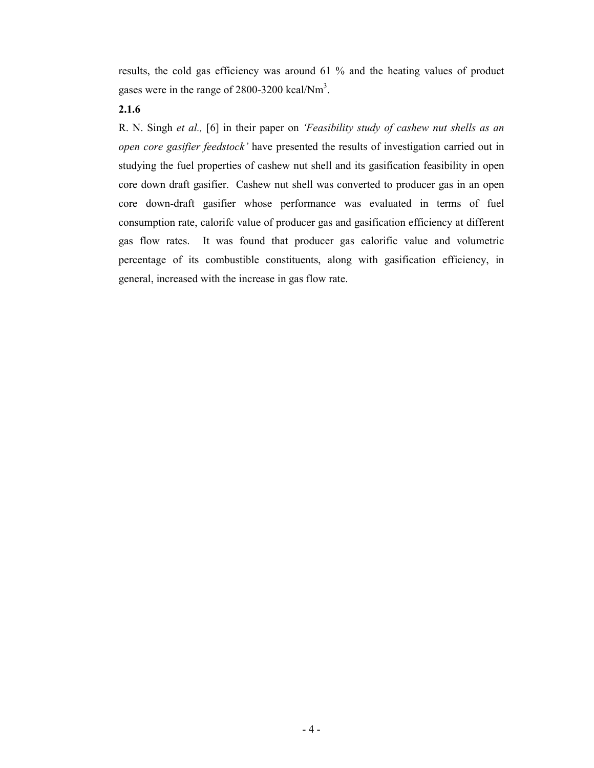results, the cold gas efficiency was around 61 % and the heating values of product gases were in the range of  $2800 - 3200$  kcal/Nm<sup>3</sup>.

## 2.1.6

R. N. Singh et al., [6] in their paper on 'Feasibility study of cashew nut shells as an open core gasifier feedstock' have presented the results of investigation carried out in studying the fuel properties of cashew nut shell and its gasification feasibility in open core down draft gasifier. Cashew nut shell was converted to producer gas in an open core down-draft gasifier whose performance was evaluated in terms of fuel consumption rate, calorifc value of producer gas and gasification efficiency at different gas flow rates. It was found that producer gas calorific value and volumetric percentage of its combustible constituents, along with gasification efficiency, in general, increased with the increase in gas flow rate.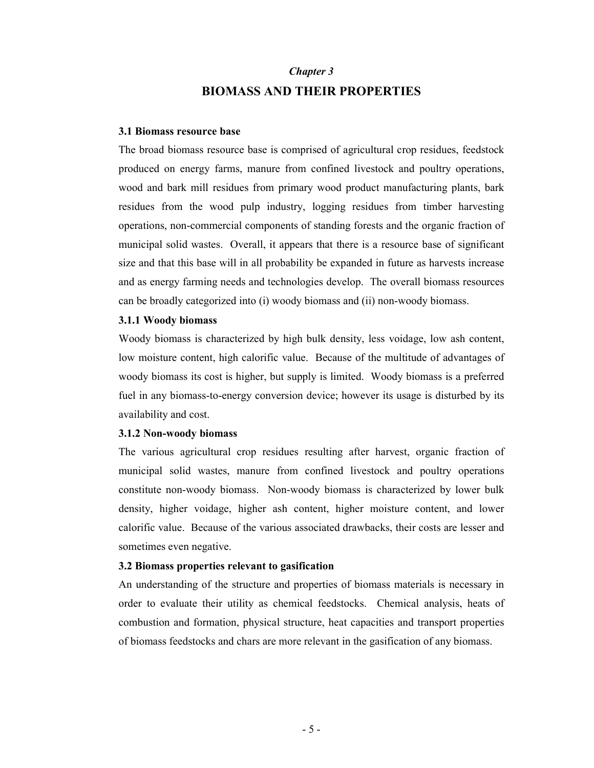## Chapter 3 BIOMASS AND THEIR PROPERTIES

#### 3.1 Biomass resource base

The broad biomass resource base is comprised of agricultural crop residues, feedstock produced on energy farms, manure from confined livestock and poultry operations, wood and bark mill residues from primary wood product manufacturing plants, bark residues from the wood pulp industry, logging residues from timber harvesting operations, non-commercial components of standing forests and the organic fraction of municipal solid wastes. Overall, it appears that there is a resource base of significant size and that this base will in all probability be expanded in future as harvests increase and as energy farming needs and technologies develop. The overall biomass resources can be broadly categorized into (i) woody biomass and (ii) non-woody biomass.

### 3.1.1 Woody biomass

Woody biomass is characterized by high bulk density, less voidage, low ash content, low moisture content, high calorific value. Because of the multitude of advantages of woody biomass its cost is higher, but supply is limited. Woody biomass is a preferred fuel in any biomass-to-energy conversion device; however its usage is disturbed by its availability and cost.

#### 3.1.2 Non-woody biomass

The various agricultural crop residues resulting after harvest, organic fraction of municipal solid wastes, manure from confined livestock and poultry operations constitute non-woody biomass. Non-woody biomass is characterized by lower bulk density, higher voidage, higher ash content, higher moisture content, and lower calorific value. Because of the various associated drawbacks, their costs are lesser and sometimes even negative.

#### 3.2 Biomass properties relevant to gasification

An understanding of the structure and properties of biomass materials is necessary in order to evaluate their utility as chemical feedstocks. Chemical analysis, heats of combustion and formation, physical structure, heat capacities and transport properties of biomass feedstocks and chars are more relevant in the gasification of any biomass.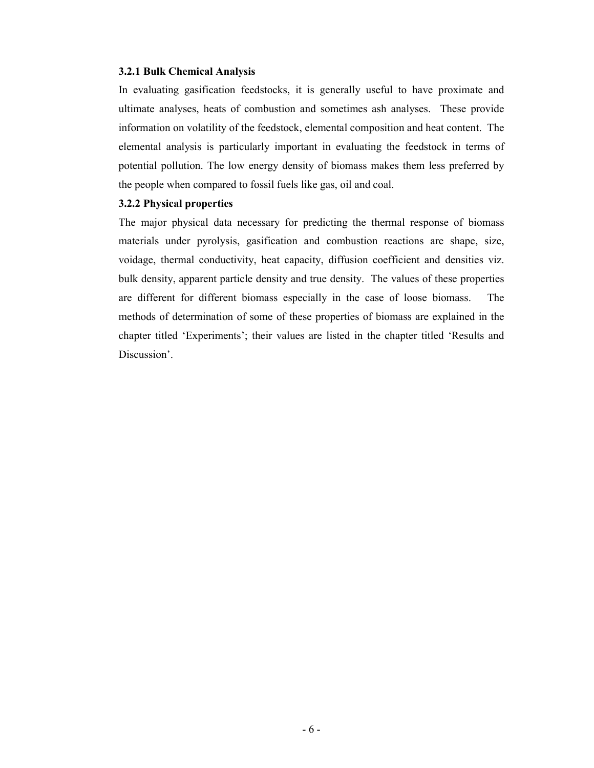#### 3.2.1 Bulk Chemical Analysis

In evaluating gasification feedstocks, it is generally useful to have proximate and ultimate analyses, heats of combustion and sometimes ash analyses. These provide information on volatility of the feedstock, elemental composition and heat content. The elemental analysis is particularly important in evaluating the feedstock in terms of potential pollution. The low energy density of biomass makes them less preferred by the people when compared to fossil fuels like gas, oil and coal.

## 3.2.2 Physical properties

The major physical data necessary for predicting the thermal response of biomass materials under pyrolysis, gasification and combustion reactions are shape, size, voidage, thermal conductivity, heat capacity, diffusion coefficient and densities viz. bulk density, apparent particle density and true density. The values of these properties are different for different biomass especially in the case of loose biomass. The methods of determination of some of these properties of biomass are explained in the chapter titled 'Experiments'; their values are listed in the chapter titled 'Results and Discussion'.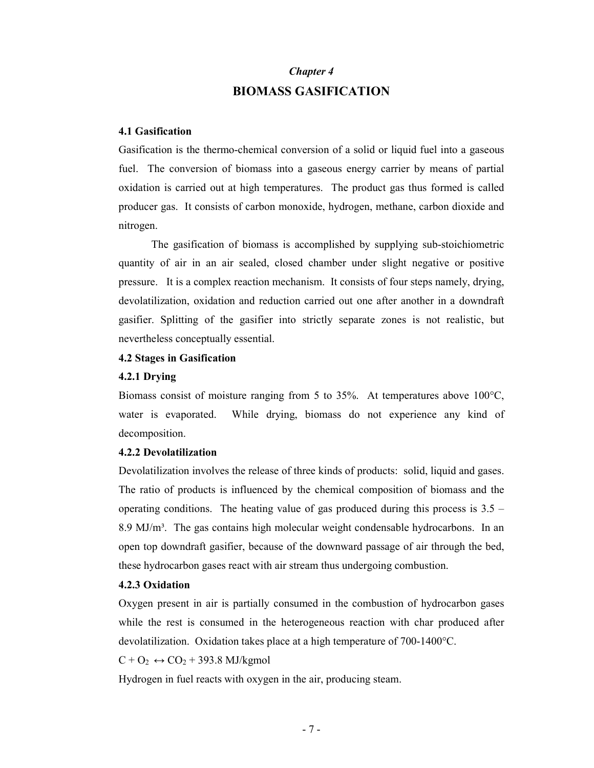## Chapter 4 BIOMASS GASIFICATION

### 4.1 Gasification

Gasification is the thermo-chemical conversion of a solid or liquid fuel into a gaseous fuel. The conversion of biomass into a gaseous energy carrier by means of partial oxidation is carried out at high temperatures. The product gas thus formed is called producer gas. It consists of carbon monoxide, hydrogen, methane, carbon dioxide and nitrogen.

The gasification of biomass is accomplished by supplying sub-stoichiometric quantity of air in an air sealed, closed chamber under slight negative or positive pressure. It is a complex reaction mechanism. It consists of four steps namely, drying, devolatilization, oxidation and reduction carried out one after another in a downdraft gasifier. Splitting of the gasifier into strictly separate zones is not realistic, but nevertheless conceptually essential.

## 4.2 Stages in Gasification

#### 4.2.1 Drying

Biomass consist of moisture ranging from 5 to 35%. At temperatures above  $100^{\circ}$ C, water is evaporated. While drying, biomass do not experience any kind of decomposition.

#### 4.2.2 Devolatilization

Devolatilization involves the release of three kinds of products: solid, liquid and gases. The ratio of products is influenced by the chemical composition of biomass and the operating conditions. The heating value of gas produced during this process is  $3.5 -$ 8.9 MJ/m<sup>3</sup>. The gas contains high molecular weight condensable hydrocarbons. In an open top downdraft gasifier, because of the downward passage of air through the bed, these hydrocarbon gases react with air stream thus undergoing combustion.

#### 4.2.3 Oxidation

Oxygen present in air is partially consumed in the combustion of hydrocarbon gases while the rest is consumed in the heterogeneous reaction with char produced after devolatilization. Oxidation takes place at a high temperature of 700-1400°C.

 $C + O_2 \leftrightarrow CO_2 + 393.8$  MJ/kgmol

Hydrogen in fuel reacts with oxygen in the air, producing steam.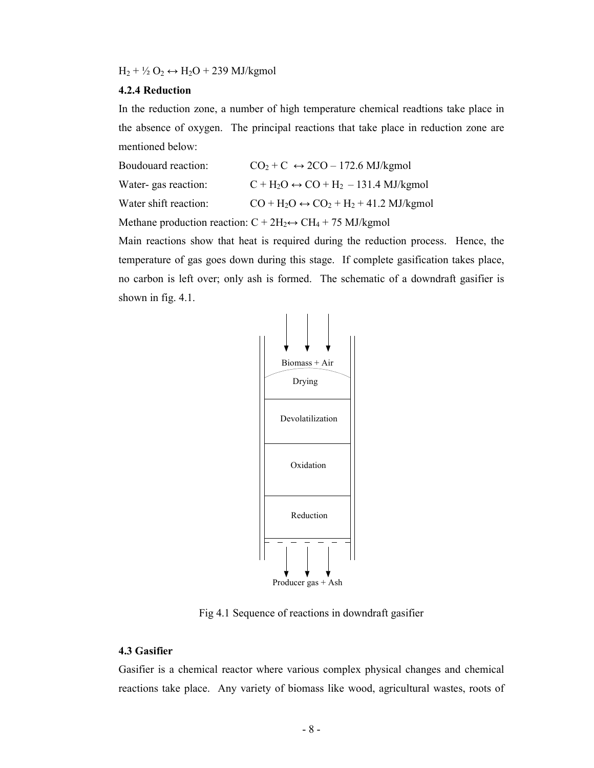$H_2 + \frac{1}{2} O_2 \leftrightarrow H_2O + 239$  MJ/kgmol

### 4.2.4 Reduction

In the reduction zone, a number of high temperature chemical readtions take place in the absence of oxygen. The principal reactions that take place in reduction zone are mentioned below:

| Boudouard reaction:   | $CO2 + C \leftrightarrow 2CO - 172.6$ MJ/kgmol       |
|-----------------------|------------------------------------------------------|
| Water-gas reaction:   | $C + H_2O \leftrightarrow CO + H_2 - 131.4$ MJ/kgmol |
| Water shift reaction: | $CO + H2O \leftrightarrow CO2 + H2 + 41.2$ MJ/kgmol  |
|                       |                                                      |

Methane production reaction:  $C + 2H_2 \leftrightarrow CH_4 + 75$  MJ/kgmol

Main reactions show that heat is required during the reduction process. Hence, the temperature of gas goes down during this stage. If complete gasification takes place, no carbon is left over; only ash is formed. The schematic of a downdraft gasifier is shown in fig. 4.1.



Fig 4.1 Sequence of reactions in downdraft gasifier

## 4.3 Gasifier

Gasifier is a chemical reactor where various complex physical changes and chemical reactions take place. Any variety of biomass like wood, agricultural wastes, roots of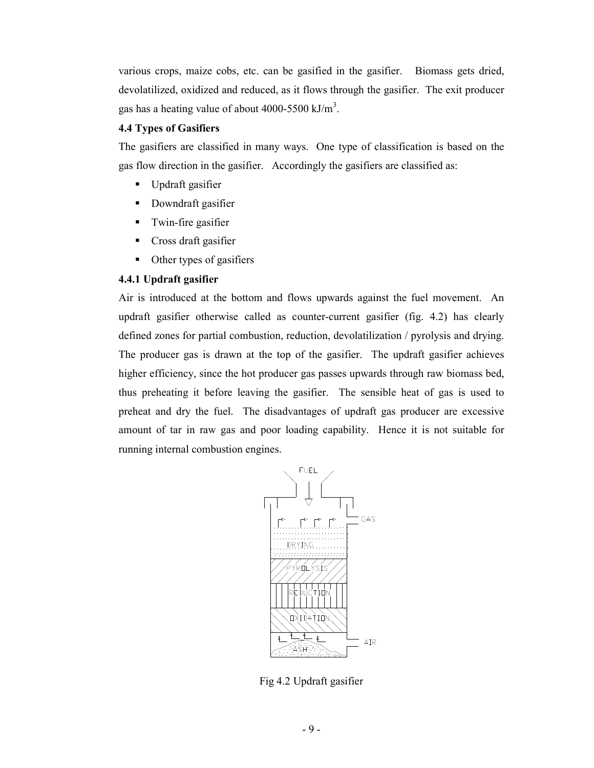various crops, maize cobs, etc. can be gasified in the gasifier. Biomass gets dried, devolatilized, oxidized and reduced, as it flows through the gasifier. The exit producer gas has a heating value of about 4000-5500 kJ/ $m<sup>3</sup>$ .

## 4.4 Types of Gasifiers

The gasifiers are classified in many ways. One type of classification is based on the gas flow direction in the gasifier. Accordingly the gasifiers are classified as:

- Updraft gasifier
- Downdraft gasifier
- **Twin-fire gasifier**
- Cross draft gasifier
- Other types of gasifiers

## 4.4.1 Updraft gasifier

Air is introduced at the bottom and flows upwards against the fuel movement. An updraft gasifier otherwise called as counter-current gasifier (fig. 4.2) has clearly defined zones for partial combustion, reduction, devolatilization / pyrolysis and drying. The producer gas is drawn at the top of the gasifier. The updraft gasifier achieves higher efficiency, since the hot producer gas passes upwards through raw biomass bed, thus preheating it before leaving the gasifier. The sensible heat of gas is used to preheat and dry the fuel. The disadvantages of updraft gas producer are excessive amount of tar in raw gas and poor loading capability. Hence it is not suitable for running internal combustion engines.



Fig 4.2 Updraft gasifier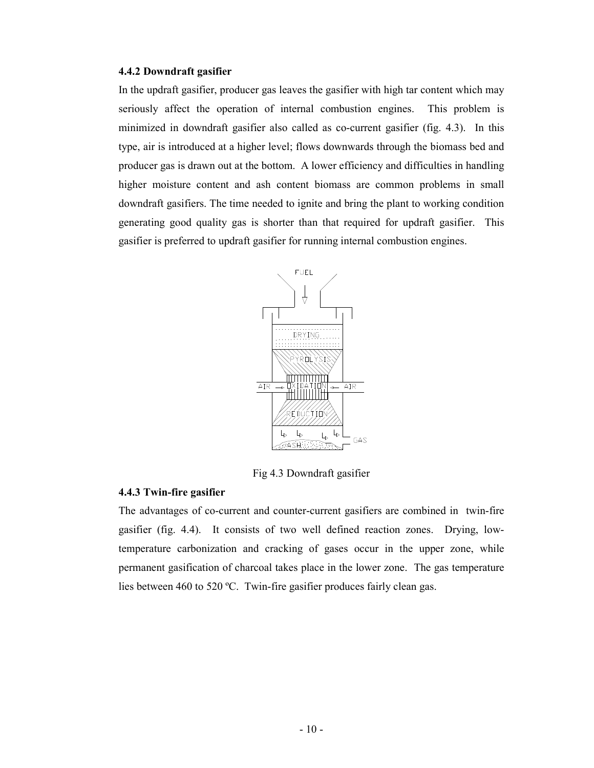### 4.4.2 Downdraft gasifier

In the updraft gasifier, producer gas leaves the gasifier with high tar content which may seriously affect the operation of internal combustion engines. This problem is minimized in downdraft gasifier also called as co-current gasifier (fig. 4.3). In this type, air is introduced at a higher level; flows downwards through the biomass bed and producer gas is drawn out at the bottom. A lower efficiency and difficulties in handling higher moisture content and ash content biomass are common problems in small downdraft gasifiers. The time needed to ignite and bring the plant to working condition generating good quality gas is shorter than that required for updraft gasifier. This gasifier is preferred to updraft gasifier for running internal combustion engines.



Fig 4.3 Downdraft gasifier

#### 4.4.3 Twin-fire gasifier

The advantages of co-current and counter-current gasifiers are combined in twin-fire gasifier (fig. 4.4). It consists of two well defined reaction zones. Drying, lowtemperature carbonization and cracking of gases occur in the upper zone, while permanent gasification of charcoal takes place in the lower zone. The gas temperature lies between 460 to 520 ºC. Twin-fire gasifier produces fairly clean gas.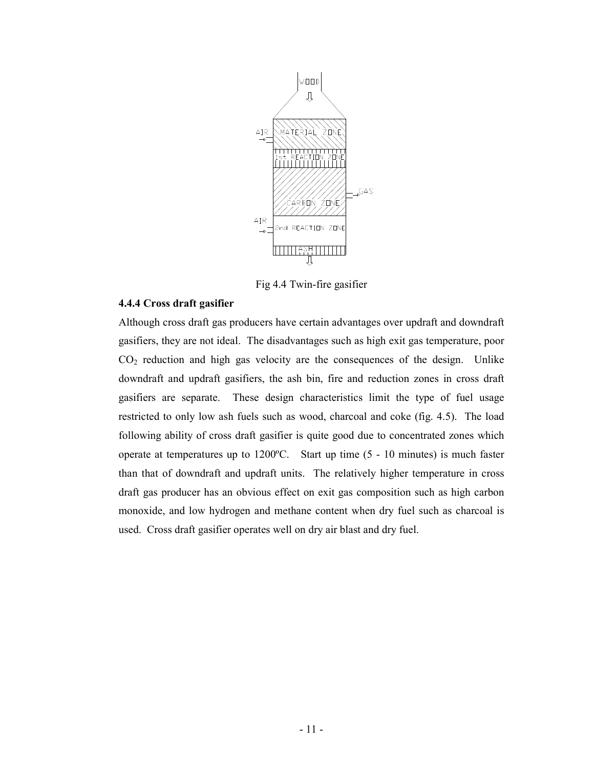

Fig 4.4 Twin-fire gasifier

## 4.4.4 Cross draft gasifier

Although cross draft gas producers have certain advantages over updraft and downdraft gasifiers, they are not ideal. The disadvantages such as high exit gas temperature, poor CO2 reduction and high gas velocity are the consequences of the design. Unlike downdraft and updraft gasifiers, the ash bin, fire and reduction zones in cross draft gasifiers are separate. These design characteristics limit the type of fuel usage restricted to only low ash fuels such as wood, charcoal and coke (fig. 4.5). The load following ability of cross draft gasifier is quite good due to concentrated zones which operate at temperatures up to 1200ºC. Start up time (5 - 10 minutes) is much faster than that of downdraft and updraft units. The relatively higher temperature in cross draft gas producer has an obvious effect on exit gas composition such as high carbon monoxide, and low hydrogen and methane content when dry fuel such as charcoal is used. Cross draft gasifier operates well on dry air blast and dry fuel.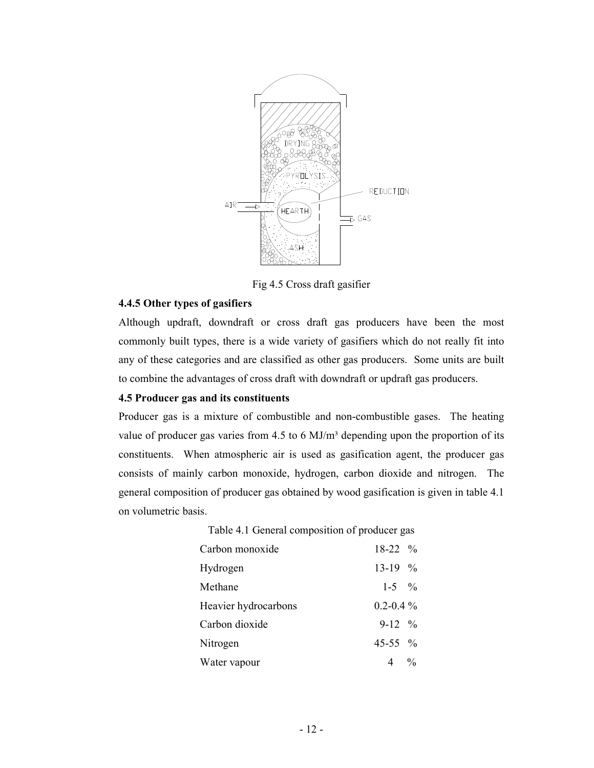

Fig 4.5 Cross draft gasifier

## 4.4.5 Other types of gasifiers

Although updraft, downdraft or cross draft gas producers have been the most commonly built types, there is a wide variety of gasifiers which do not really fit into any of these categories and are classified as other gas producers. Some units are built to combine the advantages of cross draft with downdraft or updraft gas producers.

## 4.5 Producer gas and its constituents

Producer gas is a mixture of combustible and non-combustible gases. The heating value of producer gas varies from  $4.5$  to 6 MJ/m<sup>3</sup> depending upon the proportion of its constituents. When atmospheric air is used as gasification agent, the producer gas consists of mainly carbon monoxide, hydrogen, carbon dioxide and nitrogen. The general composition of producer gas obtained by wood gasification is given in table 4.1 on volumetric basis.

| Table 4.1 General composition of producer gas |  |
|-----------------------------------------------|--|
| $18-22$ %                                     |  |
| $13-19$ %                                     |  |
| $1-5$ %                                       |  |
| $0.2 - 0.4\%$                                 |  |
| $9-12\frac{6}{6}$                             |  |
| 45-55 $\%$                                    |  |
| $4 \frac{0}{0}$                               |  |
|                                               |  |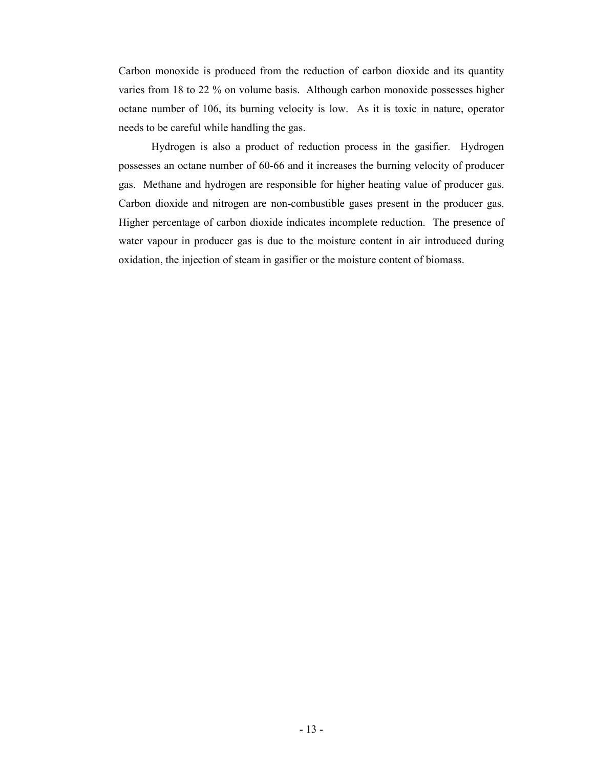Carbon monoxide is produced from the reduction of carbon dioxide and its quantity varies from 18 to 22 % on volume basis. Although carbon monoxide possesses higher octane number of 106, its burning velocity is low. As it is toxic in nature, operator needs to be careful while handling the gas.

Hydrogen is also a product of reduction process in the gasifier. Hydrogen possesses an octane number of 60-66 and it increases the burning velocity of producer gas. Methane and hydrogen are responsible for higher heating value of producer gas. Carbon dioxide and nitrogen are non-combustible gases present in the producer gas. Higher percentage of carbon dioxide indicates incomplete reduction. The presence of water vapour in producer gas is due to the moisture content in air introduced during oxidation, the injection of steam in gasifier or the moisture content of biomass.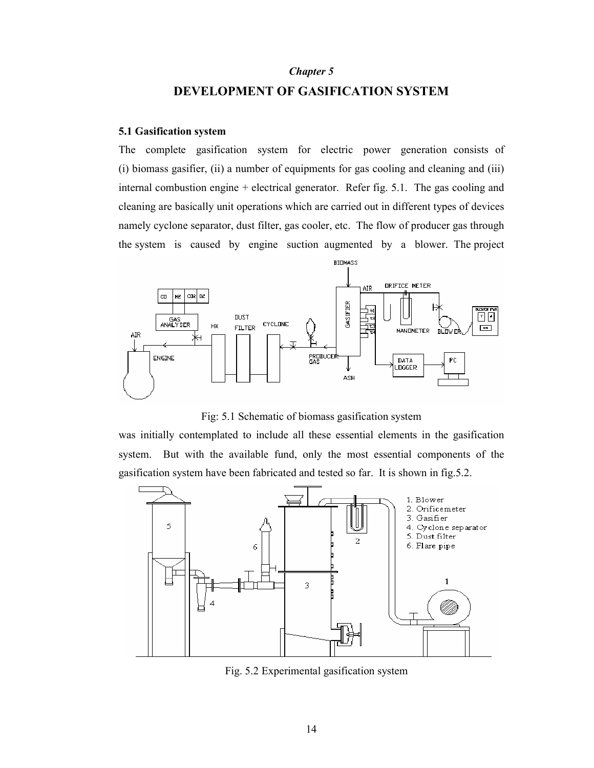## Chapter 5 DEVELOPMENT OF GASIFICATION SYSTEM

#### 5.1 Gasification system

The complete gasification system for electric power generation consists of (i) biomass gasifier, (ii) a number of equipments for gas cooling and cleaning and (iii) internal combustion engine + electrical generator. Refer fig. 5.1. The gas cooling and cleaning are basically unit operations which are carried out in different types of devices namely cyclone separator, dust filter, gas cooler, etc. The flow of producer gas through the system is caused by engine suction augmented by a blower. The project



Fig: 5.1 Schematic of biomass gasification system

was initially contemplated to include all these essential elements in the gasification system. But with the available fund, only the most essential components of the gasification system have been fabricated and tested so far. It is shown in fig.5.2.



Fig. 5.2 Experimental gasification system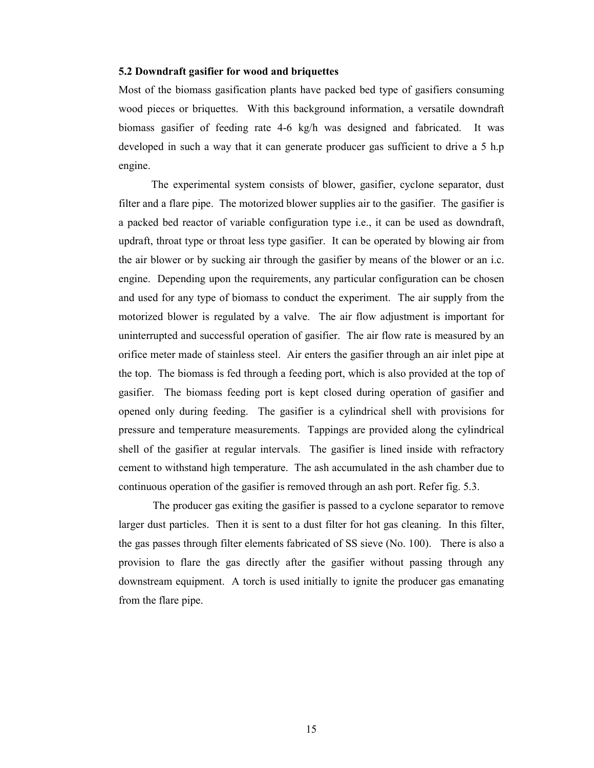#### 5.2 Downdraft gasifier for wood and briquettes

Most of the biomass gasification plants have packed bed type of gasifiers consuming wood pieces or briquettes. With this background information, a versatile downdraft biomass gasifier of feeding rate 4-6 kg/h was designed and fabricated. It was developed in such a way that it can generate producer gas sufficient to drive a 5 h.p engine.

The experimental system consists of blower, gasifier, cyclone separator, dust filter and a flare pipe. The motorized blower supplies air to the gasifier. The gasifier is a packed bed reactor of variable configuration type i.e., it can be used as downdraft, updraft, throat type or throat less type gasifier. It can be operated by blowing air from the air blower or by sucking air through the gasifier by means of the blower or an i.c. engine. Depending upon the requirements, any particular configuration can be chosen and used for any type of biomass to conduct the experiment. The air supply from the motorized blower is regulated by a valve. The air flow adjustment is important for uninterrupted and successful operation of gasifier. The air flow rate is measured by an orifice meter made of stainless steel. Air enters the gasifier through an air inlet pipe at the top. The biomass is fed through a feeding port, which is also provided at the top of gasifier. The biomass feeding port is kept closed during operation of gasifier and opened only during feeding. The gasifier is a cylindrical shell with provisions for pressure and temperature measurements. Tappings are provided along the cylindrical shell of the gasifier at regular intervals. The gasifier is lined inside with refractory cement to withstand high temperature. The ash accumulated in the ash chamber due to continuous operation of the gasifier is removed through an ash port. Refer fig. 5.3.

The producer gas exiting the gasifier is passed to a cyclone separator to remove larger dust particles. Then it is sent to a dust filter for hot gas cleaning. In this filter, the gas passes through filter elements fabricated of SS sieve (No. 100). There is also a provision to flare the gas directly after the gasifier without passing through any downstream equipment. A torch is used initially to ignite the producer gas emanating from the flare pipe.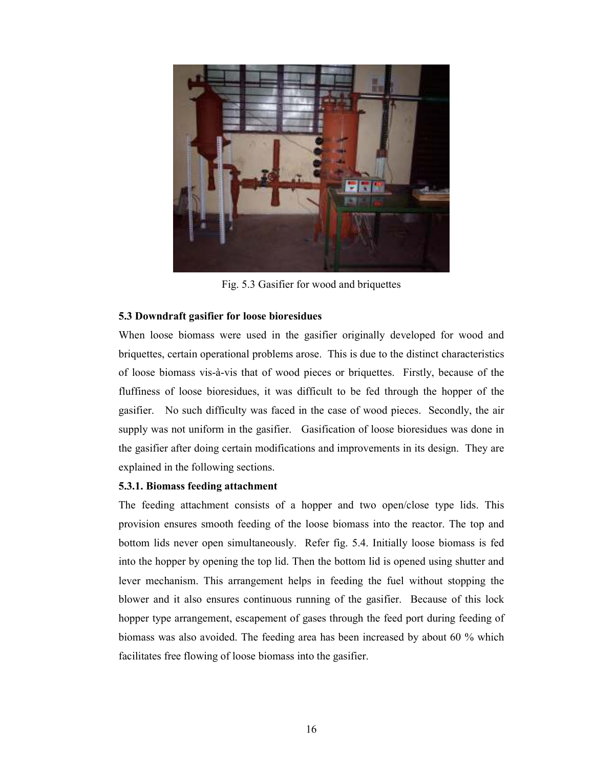

Fig. 5.3 Gasifier for wood and briquettes

## 5.3 Downdraft gasifier for loose bioresidues

When loose biomass were used in the gasifier originally developed for wood and briquettes, certain operational problems arose. This is due to the distinct characteristics of loose biomass vis-à-vis that of wood pieces or briquettes. Firstly, because of the fluffiness of loose bioresidues, it was difficult to be fed through the hopper of the gasifier. No such difficulty was faced in the case of wood pieces. Secondly, the air supply was not uniform in the gasifier. Gasification of loose bioresidues was done in the gasifier after doing certain modifications and improvements in its design. They are explained in the following sections.

## 5.3.1. Biomass feeding attachment

The feeding attachment consists of a hopper and two open/close type lids. This provision ensures smooth feeding of the loose biomass into the reactor. The top and bottom lids never open simultaneously. Refer fig. 5.4. Initially loose biomass is fed into the hopper by opening the top lid. Then the bottom lid is opened using shutter and lever mechanism. This arrangement helps in feeding the fuel without stopping the blower and it also ensures continuous running of the gasifier. Because of this lock hopper type arrangement, escapement of gases through the feed port during feeding of biomass was also avoided. The feeding area has been increased by about 60 % which facilitates free flowing of loose biomass into the gasifier.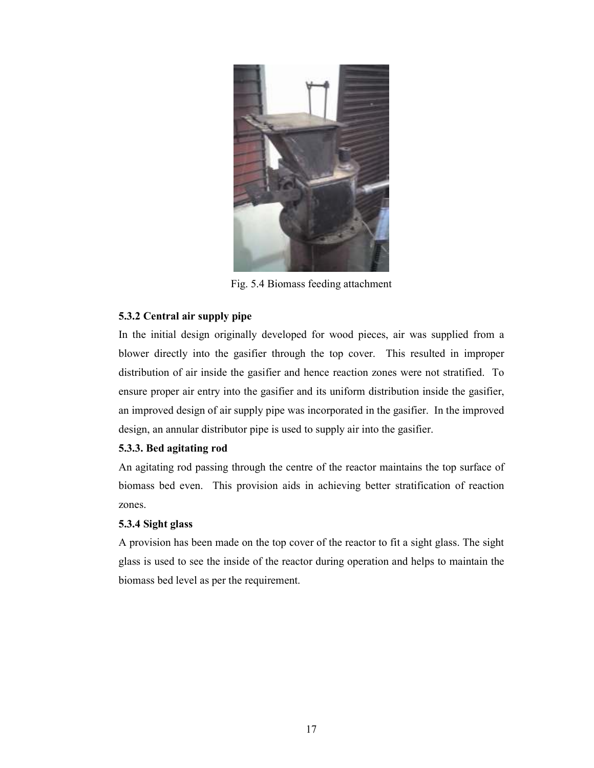

Fig. 5.4 Biomass feeding attachment

## 5.3.2 Central air supply pipe

In the initial design originally developed for wood pieces, air was supplied from a blower directly into the gasifier through the top cover. This resulted in improper distribution of air inside the gasifier and hence reaction zones were not stratified. To ensure proper air entry into the gasifier and its uniform distribution inside the gasifier, an improved design of air supply pipe was incorporated in the gasifier. In the improved design, an annular distributor pipe is used to supply air into the gasifier.

## 5.3.3. Bed agitating rod

An agitating rod passing through the centre of the reactor maintains the top surface of biomass bed even. This provision aids in achieving better stratification of reaction zones.

## 5.3.4 Sight glass

A provision has been made on the top cover of the reactor to fit a sight glass. The sight glass is used to see the inside of the reactor during operation and helps to maintain the biomass bed level as per the requirement.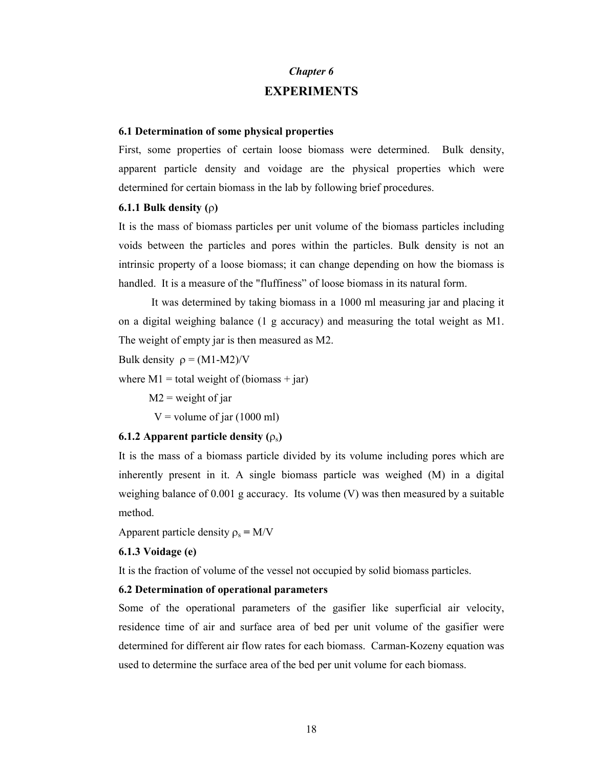## Chapter 6 **EXPERIMENTS**

#### 6.1 Determination of some physical properties

First, some properties of certain loose biomass were determined. Bulk density, apparent particle density and voidage are the physical properties which were determined for certain biomass in the lab by following brief procedures.

#### 6.1.1 Bulk density (ρ)

It is the mass of biomass particles per unit volume of the biomass particles including voids between the particles and pores within the particles. Bulk density is not an intrinsic property of a loose biomass; it can change depending on how the biomass is handled. It is a measure of the "fluffiness" of loose biomass in its natural form.

It was determined by taking biomass in a 1000 ml measuring jar and placing it on a digital weighing balance (1 g accuracy) and measuring the total weight as M1. The weight of empty jar is then measured as M2.

Bulk density  $\rho = (M1-M2)/V$ 

where  $M1 =$  total weight of (biomass + jar)

 $M2$  = weight of jar

 $V =$  volume of jar (1000 ml)

#### 6.1.2 Apparent particle density  $(\rho_s)$

It is the mass of a biomass particle divided by its volume including pores which are inherently present in it. A single biomass particle was weighed (M) in a digital weighing balance of 0.001 g accuracy. Its volume (V) was then measured by a suitable method.

Apparent particle density  $\rho_s = M/V$ 

#### 6.1.3 Voidage (e)

It is the fraction of volume of the vessel not occupied by solid biomass particles.

### 6.2 Determination of operational parameters

Some of the operational parameters of the gasifier like superficial air velocity, residence time of air and surface area of bed per unit volume of the gasifier were determined for different air flow rates for each biomass. Carman-Kozeny equation was used to determine the surface area of the bed per unit volume for each biomass.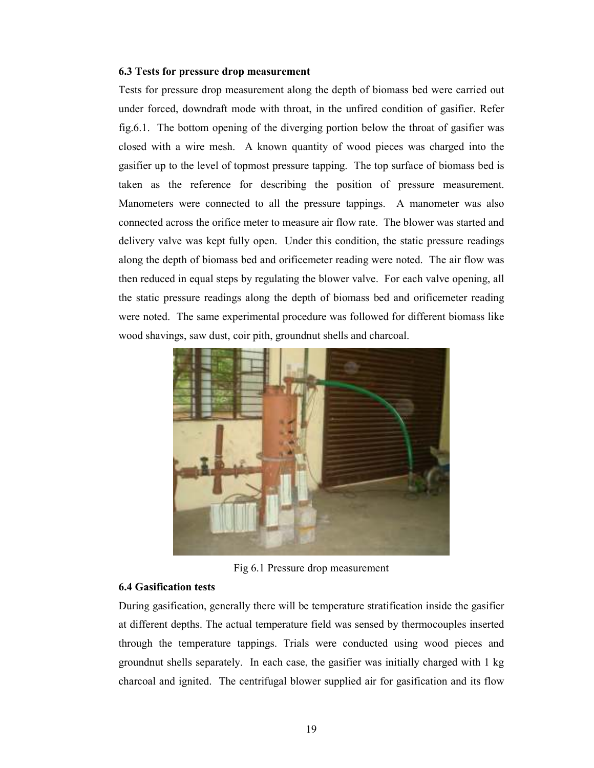#### 6.3 Tests for pressure drop measurement

Tests for pressure drop measurement along the depth of biomass bed were carried out under forced, downdraft mode with throat, in the unfired condition of gasifier. Refer fig.6.1. The bottom opening of the diverging portion below the throat of gasifier was closed with a wire mesh. A known quantity of wood pieces was charged into the gasifier up to the level of topmost pressure tapping. The top surface of biomass bed is taken as the reference for describing the position of pressure measurement. Manometers were connected to all the pressure tappings. A manometer was also connected across the orifice meter to measure air flow rate. The blower was started and delivery valve was kept fully open. Under this condition, the static pressure readings along the depth of biomass bed and orificemeter reading were noted. The air flow was then reduced in equal steps by regulating the blower valve. For each valve opening, all the static pressure readings along the depth of biomass bed and orificemeter reading were noted. The same experimental procedure was followed for different biomass like wood shavings, saw dust, coir pith, groundnut shells and charcoal.



Fig 6.1 Pressure drop measurement

### 6.4 Gasification tests

During gasification, generally there will be temperature stratification inside the gasifier at different depths. The actual temperature field was sensed by thermocouples inserted through the temperature tappings. Trials were conducted using wood pieces and groundnut shells separately. In each case, the gasifier was initially charged with 1 kg charcoal and ignited. The centrifugal blower supplied air for gasification and its flow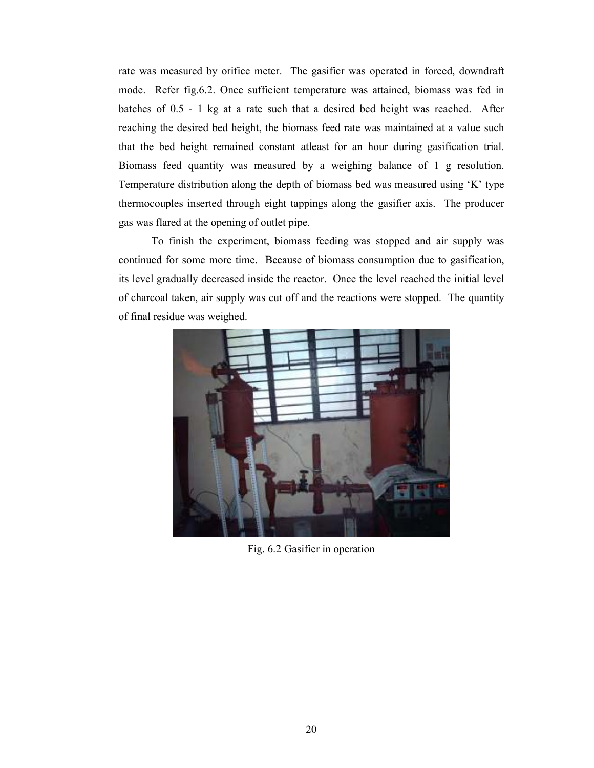rate was measured by orifice meter. The gasifier was operated in forced, downdraft mode. Refer fig.6.2. Once sufficient temperature was attained, biomass was fed in batches of 0.5 - 1 kg at a rate such that a desired bed height was reached. After reaching the desired bed height, the biomass feed rate was maintained at a value such that the bed height remained constant atleast for an hour during gasification trial. Biomass feed quantity was measured by a weighing balance of 1 g resolution. Temperature distribution along the depth of biomass bed was measured using 'K' type thermocouples inserted through eight tappings along the gasifier axis. The producer gas was flared at the opening of outlet pipe.

To finish the experiment, biomass feeding was stopped and air supply was continued for some more time. Because of biomass consumption due to gasification, its level gradually decreased inside the reactor. Once the level reached the initial level of charcoal taken, air supply was cut off and the reactions were stopped. The quantity of final residue was weighed.



Fig. 6.2 Gasifier in operation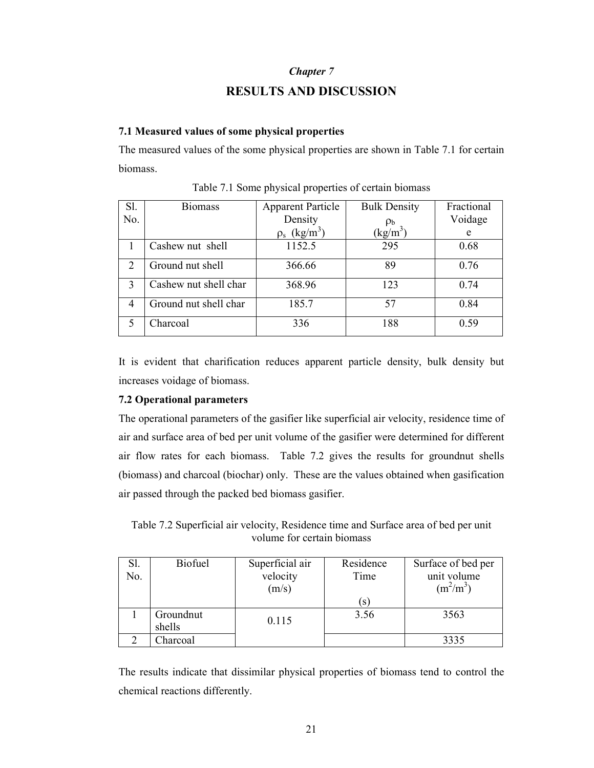#### Chapter 7

## RESULTS AND DISCUSSION

#### 7.1 Measured values of some physical properties

The measured values of the some physical properties are shown in Table 7.1 for certain biomass.

| Sl. | <b>Biomass</b>        | <b>Apparent Particle</b>      | <b>Bulk Density</b> | Fractional |
|-----|-----------------------|-------------------------------|---------------------|------------|
| No. |                       | Density                       |                     | Voidage    |
|     |                       | $\rho_s$ (kg/m <sup>3</sup> ) | $(kg/m^3)$          | e          |
|     | Cashew nut shell      | 1152.5                        | 295                 | 0.68       |
| 2   | Ground nut shell      | 366.66                        | 89                  | 0.76       |
| 3   | Cashew nut shell char | 368.96                        | 123                 | 0.74       |
| 4   | Ground nut shell char | 185.7                         | 57                  | 0.84       |
|     | Charcoal              | 336                           | 188                 | 0.59       |

Table 7.1 Some physical properties of certain biomass

It is evident that charification reduces apparent particle density, bulk density but increases voidage of biomass.

## 7.2 Operational parameters

The operational parameters of the gasifier like superficial air velocity, residence time of air and surface area of bed per unit volume of the gasifier were determined for different air flow rates for each biomass. Table 7.2 gives the results for groundnut shells (biomass) and charcoal (biochar) only. These are the values obtained when gasification air passed through the packed bed biomass gasifier.

Table 7.2 Superficial air velocity, Residence time and Surface area of bed per unit volume for certain biomass

| Sl. | <b>Biofuel</b> | Superficial air | Residence | Surface of bed per |
|-----|----------------|-----------------|-----------|--------------------|
| No. |                | velocity        | Time      | unit volume        |
|     |                | (m/s)           |           | $(m^2/m^3)$        |
|     |                |                 | S         |                    |
|     | Groundnut      | 0.115           | 3.56      | 3563               |
|     | shells         |                 |           |                    |
|     | Charcoal       |                 |           | 3335               |

The results indicate that dissimilar physical properties of biomass tend to control the chemical reactions differently.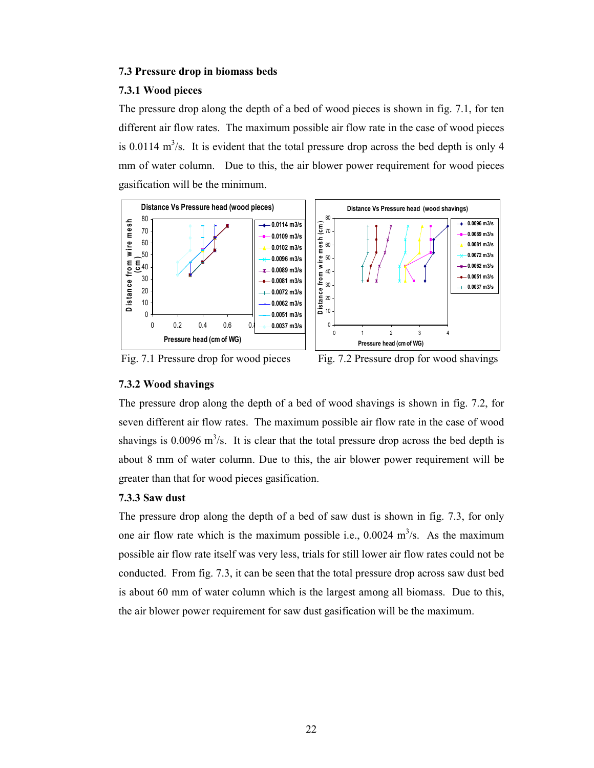### 7.3 Pressure drop in biomass beds

#### 7.3.1 Wood pieces

The pressure drop along the depth of a bed of wood pieces is shown in fig. 7.1, for ten different air flow rates. The maximum possible air flow rate in the case of wood pieces is 0.0114  $\text{m}^3$ /s. It is evident that the total pressure drop across the bed depth is only 4 mm of water column. Due to this, the air blower power requirement for wood pieces gasification will be the minimum.





Fig. 7.1 Pressure drop for wood pieces Fig. 7.2 Pressure drop for wood shavings

## 7.3.2 Wood shavings

The pressure drop along the depth of a bed of wood shavings is shown in fig. 7.2, for seven different air flow rates. The maximum possible air flow rate in the case of wood shavings is  $0.0096$  m<sup>3</sup>/s. It is clear that the total pressure drop across the bed depth is about 8 mm of water column. Due to this, the air blower power requirement will be greater than that for wood pieces gasification.

### 7.3.3 Saw dust

The pressure drop along the depth of a bed of saw dust is shown in fig. 7.3, for only one air flow rate which is the maximum possible i.e.,  $0.0024 \text{ m}^3/\text{s}$ . As the maximum possible air flow rate itself was very less, trials for still lower air flow rates could not be conducted. From fig. 7.3, it can be seen that the total pressure drop across saw dust bed is about 60 mm of water column which is the largest among all biomass. Due to this, the air blower power requirement for saw dust gasification will be the maximum.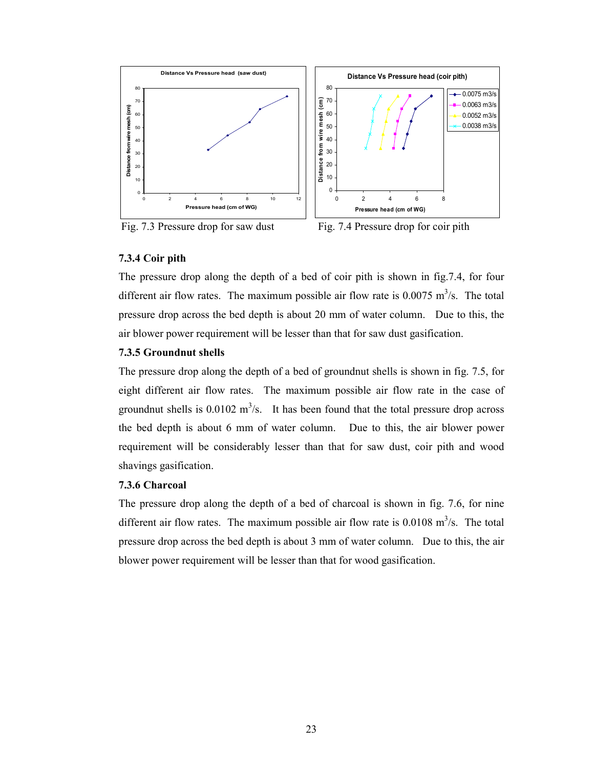

Fig. 7.3 Pressure drop for saw dust Fig. 7.4 Pressure drop for coir pith

## 7.3.4 Coir pith

The pressure drop along the depth of a bed of coir pith is shown in fig.7.4, for four different air flow rates. The maximum possible air flow rate is  $0.0075 \text{ m}^3/\text{s}$ . The total pressure drop across the bed depth is about 20 mm of water column. Due to this, the air blower power requirement will be lesser than that for saw dust gasification.

## 7.3.5 Groundnut shells

The pressure drop along the depth of a bed of groundnut shells is shown in fig. 7.5, for eight different air flow rates. The maximum possible air flow rate in the case of groundnut shells is  $0.0102 \text{ m}^3/\text{s}$ . It has been found that the total pressure drop across the bed depth is about 6 mm of water column. Due to this, the air blower power requirement will be considerably lesser than that for saw dust, coir pith and wood shavings gasification.

## 7.3.6 Charcoal

The pressure drop along the depth of a bed of charcoal is shown in fig. 7.6, for nine different air flow rates. The maximum possible air flow rate is  $0.0108 \text{ m}^3/\text{s}$ . The total pressure drop across the bed depth is about 3 mm of water column. Due to this, the air blower power requirement will be lesser than that for wood gasification.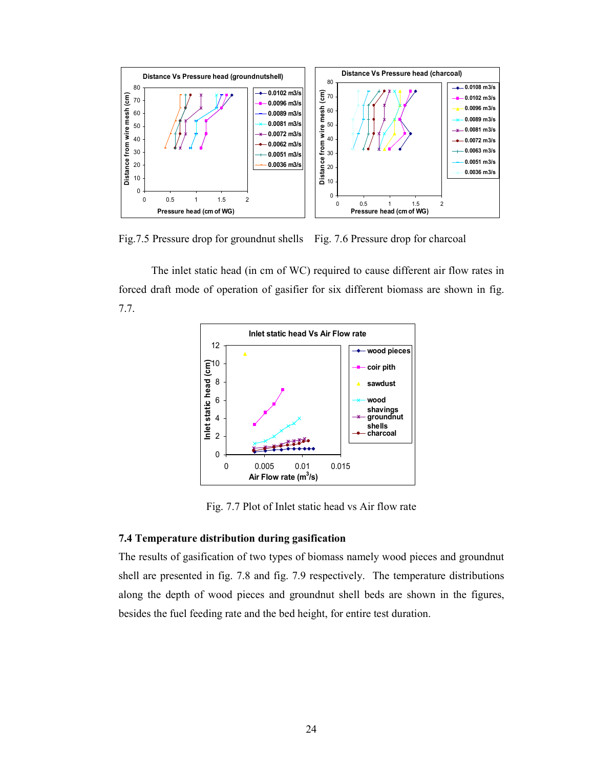

Fig.7.5 Pressure drop for groundnut shells Fig. 7.6 Pressure drop for charcoal

The inlet static head (in cm of WC) required to cause different air flow rates in forced draft mode of operation of gasifier for six different biomass are shown in fig. 7.7.



Fig. 7.7 Plot of Inlet static head vs Air flow rate

### 7.4 Temperature distribution during gasification

The results of gasification of two types of biomass namely wood pieces and groundnut shell are presented in fig. 7.8 and fig. 7.9 respectively. The temperature distributions along the depth of wood pieces and groundnut shell beds are shown in the figures, besides the fuel feeding rate and the bed height, for entire test duration.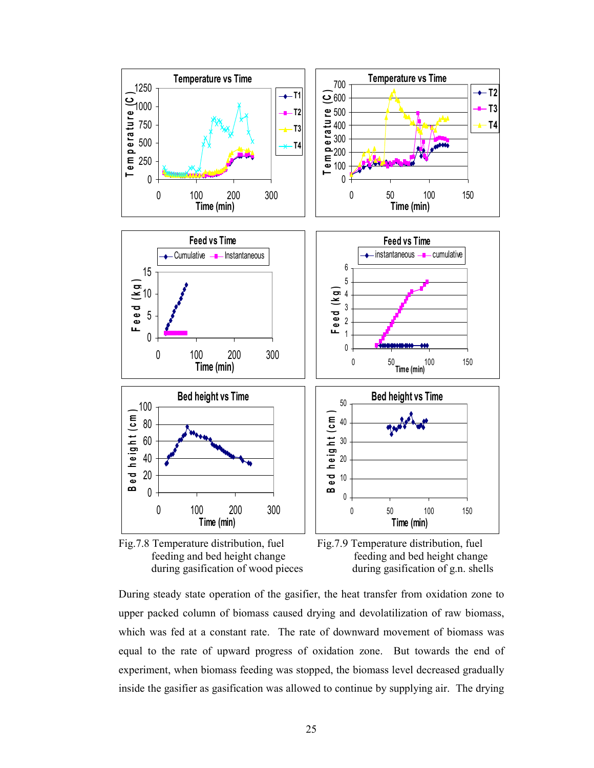



During steady state operation of the gasifier, the heat transfer from oxidation zone to upper packed column of biomass caused drying and devolatilization of raw biomass, which was fed at a constant rate. The rate of downward movement of biomass was equal to the rate of upward progress of oxidation zone. But towards the end of experiment, when biomass feeding was stopped, the biomass level decreased gradually inside the gasifier as gasification was allowed to continue by supplying air. The drying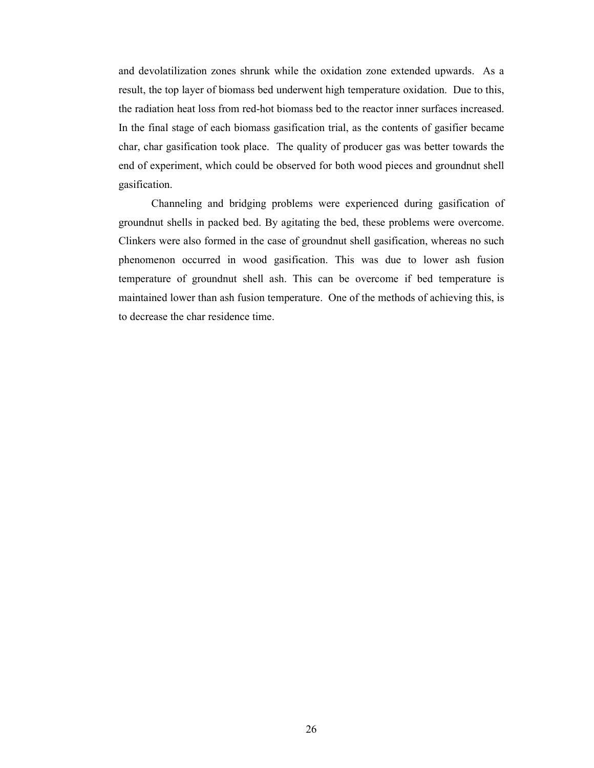and devolatilization zones shrunk while the oxidation zone extended upwards. As a result, the top layer of biomass bed underwent high temperature oxidation. Due to this, the radiation heat loss from red-hot biomass bed to the reactor inner surfaces increased. In the final stage of each biomass gasification trial, as the contents of gasifier became char, char gasification took place. The quality of producer gas was better towards the end of experiment, which could be observed for both wood pieces and groundnut shell gasification.

Channeling and bridging problems were experienced during gasification of groundnut shells in packed bed. By agitating the bed, these problems were overcome. Clinkers were also formed in the case of groundnut shell gasification, whereas no such phenomenon occurred in wood gasification. This was due to lower ash fusion temperature of groundnut shell ash. This can be overcome if bed temperature is maintained lower than ash fusion temperature. One of the methods of achieving this, is to decrease the char residence time.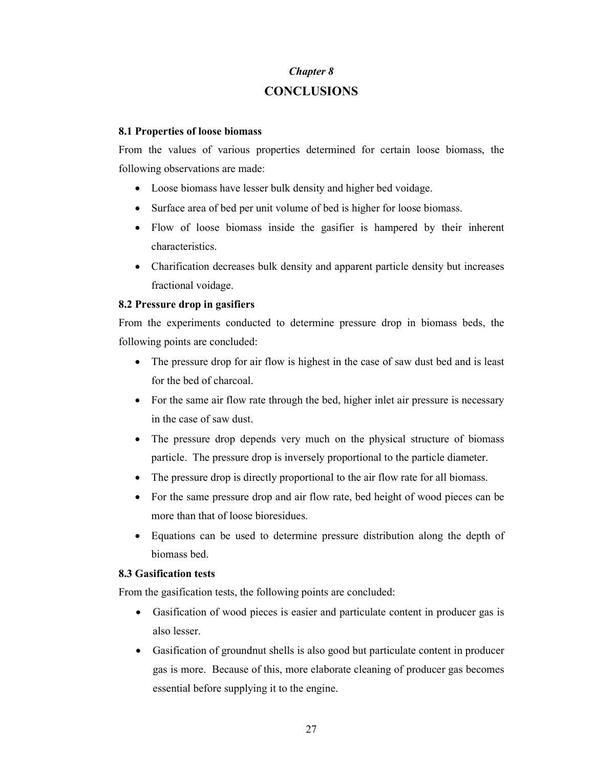## Chapter 8 **CONCLUSIONS**

## 8.1 Properties of loose biomass

From the values of various properties determined for certain loose biomass, the following observations are made:

- Loose biomass have lesser bulk density and higher bed voidage.
- Surface area of bed per unit volume of bed is higher for loose biomass.
- Flow of loose biomass inside the gasifier is hampered by their inherent characteristics.
- Charification decreases bulk density and apparent particle density but increases fractional voidage.

## 8.2 Pressure drop in gasifiers

From the experiments conducted to determine pressure drop in biomass beds, the following points are concluded:

- The pressure drop for air flow is highest in the case of saw dust bed and is least for the bed of charcoal.
- For the same air flow rate through the bed, higher inlet air pressure is necessary in the case of saw dust.
- The pressure drop depends very much on the physical structure of biomass particle. The pressure drop is inversely proportional to the particle diameter.
- The pressure drop is directly proportional to the air flow rate for all biomass.
- For the same pressure drop and air flow rate, bed height of wood pieces can be more than that of loose bioresidues.
- Equations can be used to determine pressure distribution along the depth of biomass bed.

## 8.3 Gasification tests

From the gasification tests, the following points are concluded:

- Gasification of wood pieces is easier and particulate content in producer gas is also lesser.
- Gasification of groundnut shells is also good but particulate content in producer gas is more. Because of this, more elaborate cleaning of producer gas becomes essential before supplying it to the engine.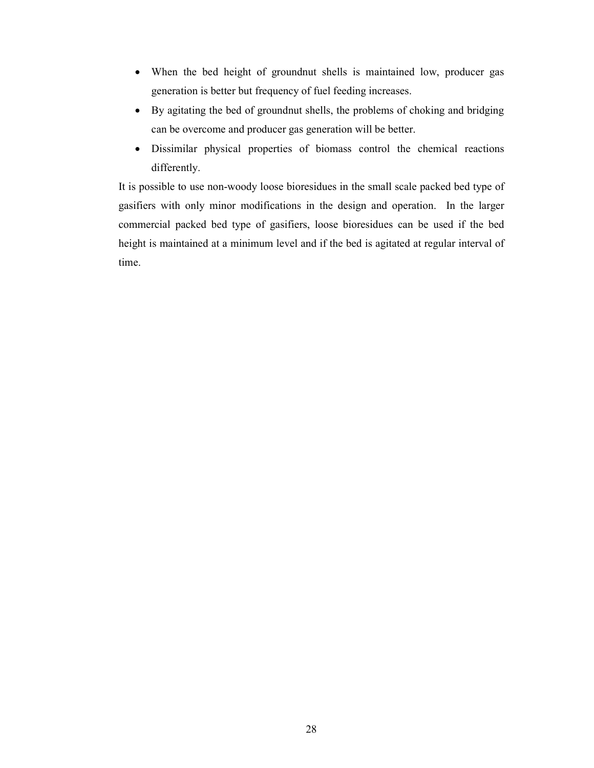- When the bed height of groundnut shells is maintained low, producer gas generation is better but frequency of fuel feeding increases.
- By agitating the bed of groundnut shells, the problems of choking and bridging can be overcome and producer gas generation will be better.
- Dissimilar physical properties of biomass control the chemical reactions differently.

It is possible to use non-woody loose bioresidues in the small scale packed bed type of gasifiers with only minor modifications in the design and operation. In the larger commercial packed bed type of gasifiers, loose bioresidues can be used if the bed height is maintained at a minimum level and if the bed is agitated at regular interval of time.